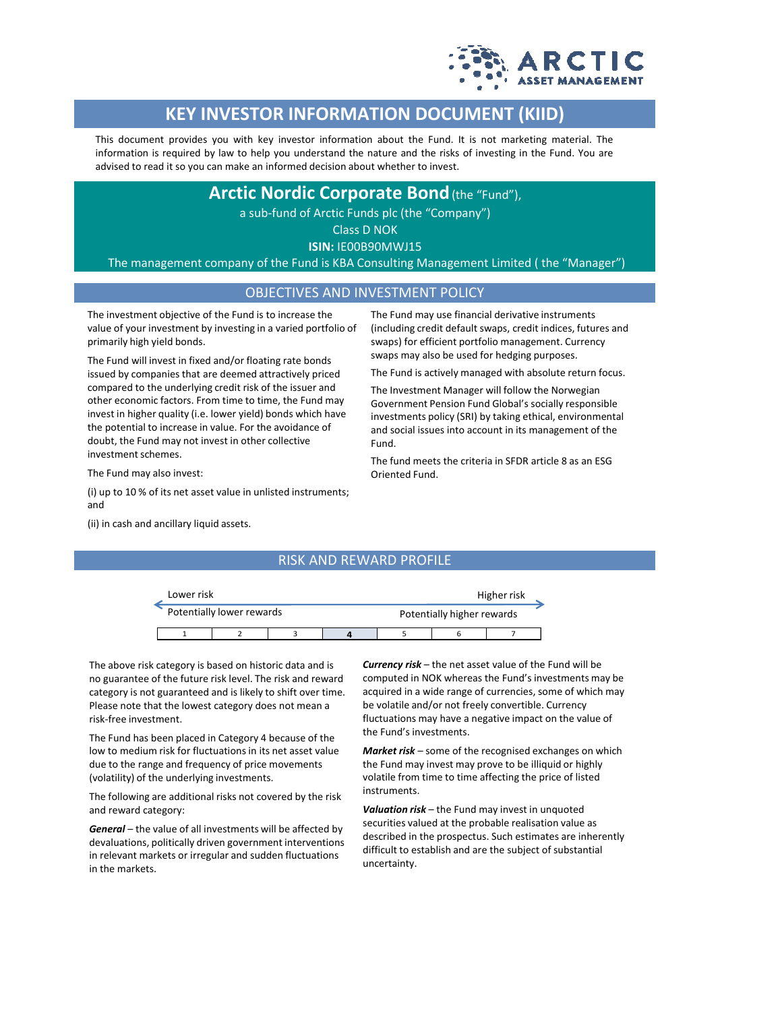

# **KEY INVESTOR INFORMATION DOCUMENT (KIID)**

This document provides you with key investor information about the Fund. It is not marketing material. The information is required by law to help you understand the nature and the risks of investing in the Fund. You are advised to read it so you can make an informed decision about whether to invest.

# **Arctic Nordic Corporate Bond**(the "Fund"),

a sub-fund of Arctic Funds plc (the "Company")

Class D NOK

**ISIN:** IE00B90MWJ15

The management company of the Fund is KBA Consulting Management Limited ( the "Manager")

### OBJECTIVES AND INVESTMENT POLICY

The investment objective of the Fund is to increase the value of your investment by investing in a varied portfolio of primarily high yield bonds.

The Fund will invest in fixed and/or floating rate bonds issued by companies that are deemed attractively priced compared to the underlying credit risk of the issuer and other economic factors. From time to time, the Fund may invest in higher quality (i.e. lower yield) bonds which have the potential to increase in value. For the avoidance of doubt, the Fund may not invest in other collective investment schemes.

The Fund may use financial derivative instruments (including credit default swaps, credit indices, futures and swaps) for efficient portfolio management. Currency swaps may also be used for hedging purposes.

The Fund is actively managed with absolute return focus.

The Investment Manager will follow the Norwegian Government Pension Fund Global's socially responsible investments policy (SRI) by taking ethical, environmental and social issues into account in its management of the Fund.

The fund meets the criteria in SFDR article 8 as an ESG

The Fund may also invest:

(i) up to 10 % of its net asset value in unlisted instruments; and

(ii) in cash and ancillary liquid assets.

## RISK AND REWARD PROFILE

Oriented Fund.

| Lower risk |                           |  |  |                            | Higher risk |  |  |  |
|------------|---------------------------|--|--|----------------------------|-------------|--|--|--|
|            | Potentially lower rewards |  |  | Potentially higher rewards |             |  |  |  |
|            |                           |  |  |                            |             |  |  |  |

The above risk category is based on historic data and is no guarantee of the future risk level. The risk and reward category is not guaranteed and is likely to shift over time. Please note that the lowest category does not mean a risk-free investment.

The Fund has been placed in Category 4 because of the low to medium risk for fluctuations in its net asset value due to the range and frequency of price movements (volatility) of the underlying investments.

The following are additional risks not covered by the risk and reward category:

*General* – the value of all investments will be affected by devaluations, politically driven government interventions in relevant markets or irregular and sudden fluctuations in the markets.

*Currency risk* – the net asset value of the Fund will be computed in NOK whereas the Fund's investments may be acquired in a wide range of currencies, some of which may be volatile and/or not freely convertible. Currency fluctuations may have a negative impact on the value of the Fund's investments.

*Market risk* – some of the recognised exchanges on which the Fund may invest may prove to be illiquid or highly volatile from time to time affecting the price of listed instruments.

*Valuation risk* – the Fund may invest in unquoted securities valued at the probable realisation value as described in the prospectus. Such estimates are inherently difficult to establish and are the subject of substantial uncertainty.